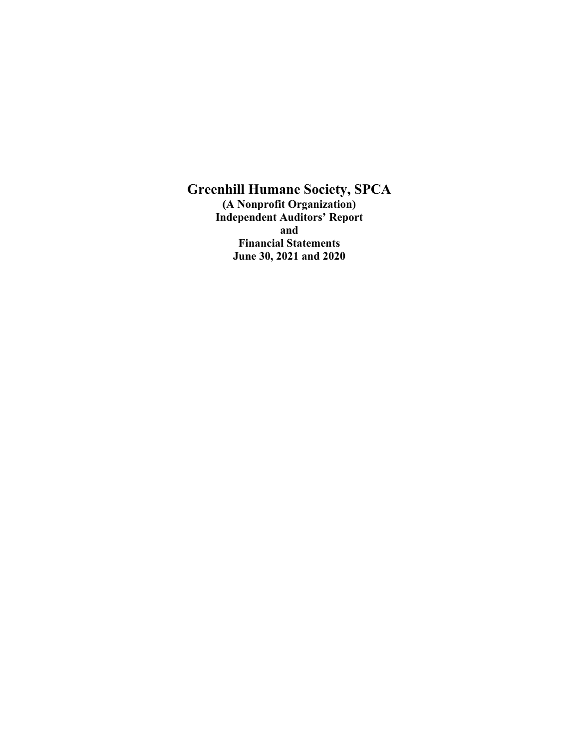#### **Greenhill Humane Society, SPCA (A Nonprofit Organization) Independent Auditors' Report and Financial Statements June 30, 2021 and 2020**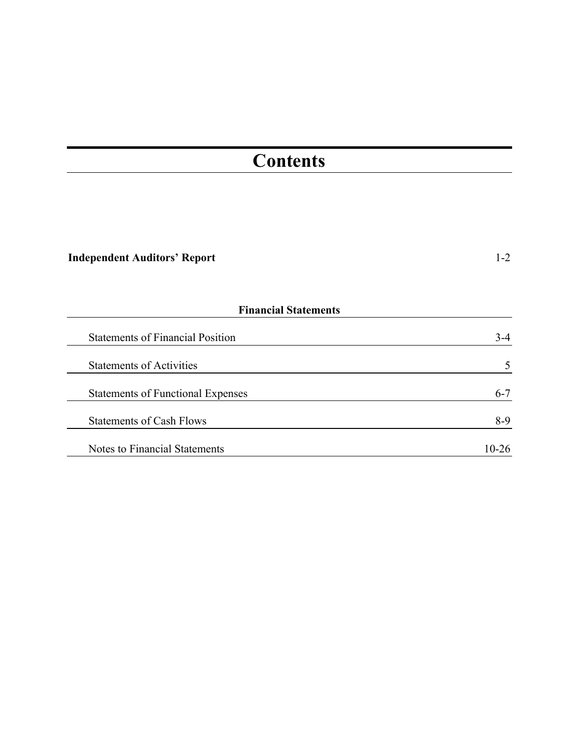# **Contents**

| <b>Independent Auditors' Report</b>      | $1 - 2$ |
|------------------------------------------|---------|
| <b>Financial Statements</b>              |         |
| <b>Statements of Financial Position</b>  | $3-4$   |
| <b>Statements of Activities</b>          | $\sim$  |
| <b>Statements of Functional Expenses</b> | $6 - 7$ |
| <b>Statements of Cash Flows</b>          | $8-9$   |
| Notes to Financial Statements            | $10-26$ |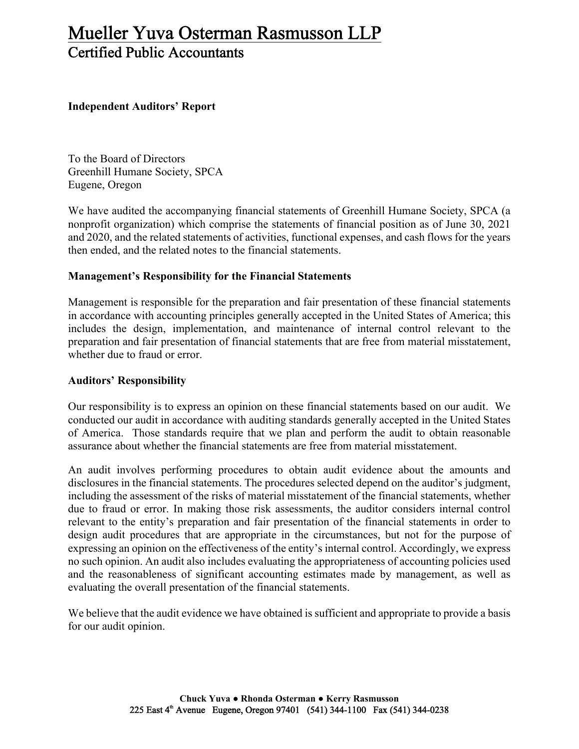## Mueller Yuva Osterman Rasmusson LLP Certified Public Accountants

#### **Independent Auditors' Report**

To the Board of Directors Greenhill Humane Society, SPCA Eugene, Oregon

We have audited the accompanying financial statements of Greenhill Humane Society, SPCA (a nonprofit organization) which comprise the statements of financial position as of June 30, 2021 and 2020, and the related statements of activities, functional expenses, and cash flows for the years then ended, and the related notes to the financial statements.

#### **Management's Responsibility for the Financial Statements**

Management is responsible for the preparation and fair presentation of these financial statements in accordance with accounting principles generally accepted in the United States of America; this includes the design, implementation, and maintenance of internal control relevant to the preparation and fair presentation of financial statements that are free from material misstatement, whether due to fraud or error.

#### **Auditors' Responsibility**

Our responsibility is to express an opinion on these financial statements based on our audit. We conducted our audit in accordance with auditing standards generally accepted in the United States of America. Those standards require that we plan and perform the audit to obtain reasonable assurance about whether the financial statements are free from material misstatement.

An audit involves performing procedures to obtain audit evidence about the amounts and disclosures in the financial statements. The procedures selected depend on the auditor's judgment, including the assessment of the risks of material misstatement of the financial statements, whether due to fraud or error. In making those risk assessments, the auditor considers internal control relevant to the entity's preparation and fair presentation of the financial statements in order to design audit procedures that are appropriate in the circumstances, but not for the purpose of expressing an opinion on the effectiveness of the entity's internal control. Accordingly, we express no such opinion. An audit also includes evaluating the appropriateness of accounting policies used and the reasonableness of significant accounting estimates made by management, as well as evaluating the overall presentation of the financial statements.

We believe that the audit evidence we have obtained is sufficient and appropriate to provide a basis for our audit opinion.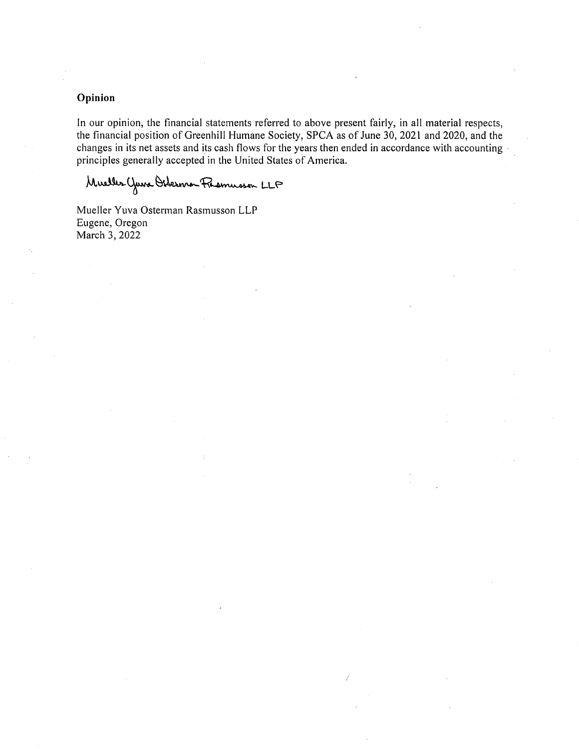#### Opinion

In our opinion, the financial statements referred to above present fairly, in all material respects, the financial position of Greenhill Humane Society, SPCA as of June 30, 2021 and 2020, and the changes in its net assets and its cash flows for the years then ended in accordance with accounting principles generally accepted in the United States of America.

Mueller Yara Osterna Framusson LLP

Mueller Yuva Osterman Rasmusson LLP Eugene, Oregon March 3, 2022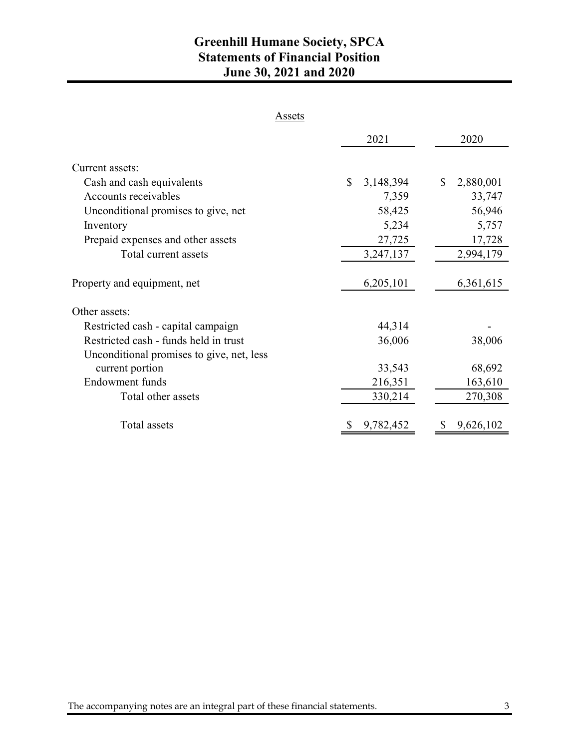## **Greenhill Humane Society, SPCA Statements of Financial Position June 30, 2021 and 2020**

| Assets                                    |              |              |
|-------------------------------------------|--------------|--------------|
|                                           | 2021         | 2020         |
| Current assets:                           |              |              |
|                                           | $\mathbb{S}$ | $\mathbb{S}$ |
| Cash and cash equivalents                 | 3,148,394    | 2,880,001    |
| Accounts receivables                      | 7,359        | 33,747       |
| Unconditional promises to give, net       | 58,425       | 56,946       |
| Inventory                                 | 5,234        | 5,757        |
| Prepaid expenses and other assets         | 27,725       | 17,728       |
| Total current assets                      | 3,247,137    | 2,994,179    |
| Property and equipment, net               | 6,205,101    | 6,361,615    |
| Other assets:                             |              |              |
| Restricted cash - capital campaign        | 44,314       |              |
| Restricted cash - funds held in trust     | 36,006       | 38,006       |
| Unconditional promises to give, net, less |              |              |
| current portion                           | 33,543       | 68,692       |
| <b>Endowment</b> funds                    | 216,351      | 163,610      |
| Total other assets                        | 330,214      | 270,308      |
| Total assets                              | 9,782,452    | 9,626,102    |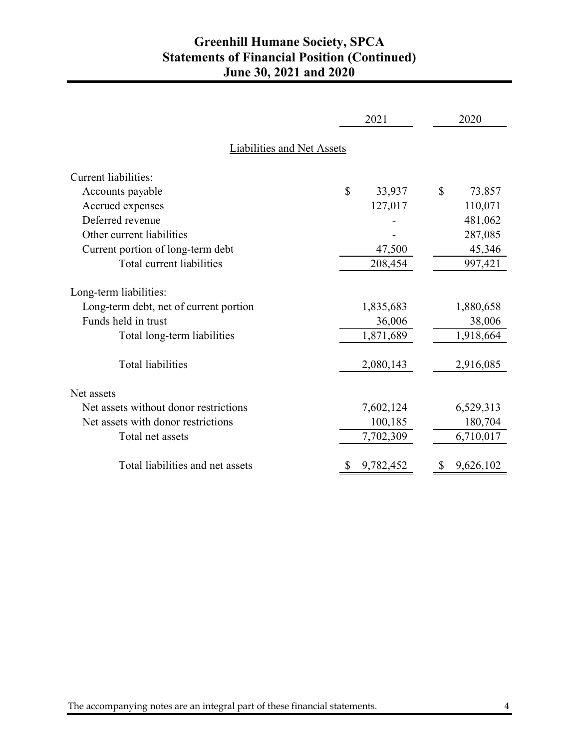## **Greenhill Humane Society, SPCA Statements of Financial Position (Continued) June 30, 2021 and 2020**

|                                        | 2021          |           | 2020 |           |
|----------------------------------------|---------------|-----------|------|-----------|
| Liabilities and Net Assets             |               |           |      |           |
| Current liabilities:                   |               |           |      |           |
| Accounts payable                       | $\mathcal{S}$ | 33,937    | \$   | 73,857    |
| Accrued expenses                       |               | 127,017   |      | 110,071   |
| Deferred revenue                       |               |           |      | 481,062   |
| Other current liabilities              |               |           |      | 287,085   |
| Current portion of long-term debt      |               | 47,500    |      | 45,346    |
| Total current liabilities              |               | 208,454   |      | 997,421   |
| Long-term liabilities:                 |               |           |      |           |
| Long-term debt, net of current portion |               | 1,835,683 |      | 1,880,658 |
| Funds held in trust                    |               | 36,006    |      | 38,006    |
| Total long-term liabilities            |               | 1,871,689 |      | 1,918,664 |
| <b>Total liabilities</b>               |               | 2,080,143 |      | 2,916,085 |
| Net assets                             |               |           |      |           |
| Net assets without donor restrictions  |               | 7,602,124 |      | 6,529,313 |
| Net assets with donor restrictions     |               | 100,185   |      | 180,704   |
| Total net assets                       |               | 7,702,309 |      | 6,710,017 |
| Total liabilities and net assets       |               | 9,782,452 |      | 9,626,102 |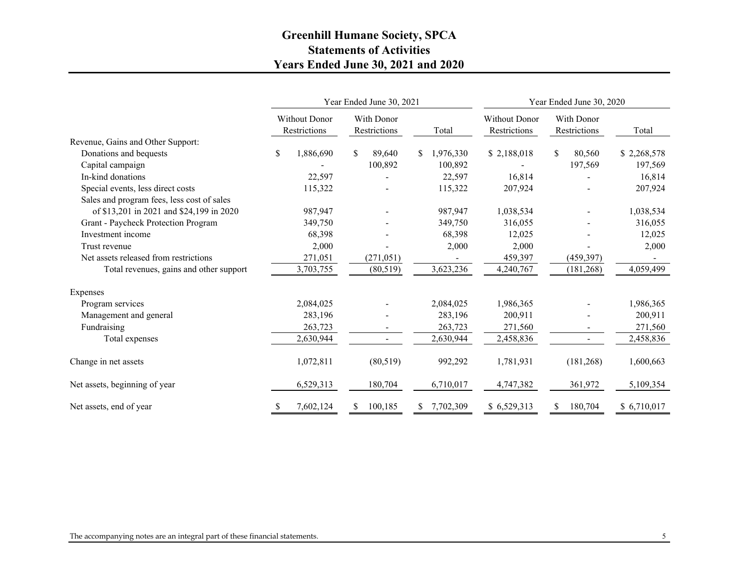### **Greenhill Humane Society, SPCA Statements of Activities Years Ended June 30, 2021 and 2020**

|                                            | Year Ended June 30, 2021 |                               |    | Year Ended June 30, 2020   |                 |                                      |    |                            |             |
|--------------------------------------------|--------------------------|-------------------------------|----|----------------------------|-----------------|--------------------------------------|----|----------------------------|-------------|
|                                            |                          | Without Donor<br>Restrictions |    | With Donor<br>Restrictions | Total           | <b>Without Donor</b><br>Restrictions |    | With Donor<br>Restrictions | Total       |
| Revenue, Gains and Other Support:          |                          |                               |    |                            |                 |                                      |    |                            |             |
| Donations and bequests                     | \$                       | 1,886,690                     | \$ | 89,640                     | \$<br>1,976,330 | \$2,188,018                          | S. | 80,560                     | \$2,268,578 |
| Capital campaign                           |                          |                               |    | 100,892                    | 100,892         |                                      |    | 197,569                    | 197,569     |
| In-kind donations                          |                          | 22,597                        |    |                            | 22,597          | 16,814                               |    |                            | 16,814      |
| Special events, less direct costs          |                          | 115,322                       |    |                            | 115,322         | 207,924                              |    |                            | 207,924     |
| Sales and program fees, less cost of sales |                          |                               |    |                            |                 |                                      |    |                            |             |
| of \$13,201 in 2021 and \$24,199 in 2020   |                          | 987,947                       |    |                            | 987,947         | 1,038,534                            |    |                            | 1,038,534   |
| Grant - Paycheck Protection Program        |                          | 349,750                       |    |                            | 349,750         | 316,055                              |    |                            | 316,055     |
| Investment income                          |                          | 68,398                        |    |                            | 68,398          | 12,025                               |    |                            | 12,025      |
| Trust revenue                              |                          | 2,000                         |    |                            | 2,000           | 2,000                                |    |                            | 2,000       |
| Net assets released from restrictions      |                          | 271,051                       |    | (271, 051)                 |                 | 459,397                              |    | (459, 397)                 |             |
| Total revenues, gains and other support    |                          | 3,703,755                     |    | (80, 519)                  | 3,623,236       | 4,240,767                            |    | (181, 268)                 | 4,059,499   |
| Expenses                                   |                          |                               |    |                            |                 |                                      |    |                            |             |
| Program services                           |                          | 2,084,025                     |    |                            | 2,084,025       | 1,986,365                            |    |                            | 1,986,365   |
| Management and general                     |                          | 283,196                       |    |                            | 283,196         | 200,911                              |    |                            | 200,911     |
| Fundraising                                |                          | 263,723                       |    |                            | 263,723         | 271,560                              |    |                            | 271,560     |
| Total expenses                             |                          | 2,630,944                     |    |                            | 2,630,944       | 2,458,836                            |    | $\blacksquare$             | 2,458,836   |
| Change in net assets                       |                          | 1,072,811                     |    | (80, 519)                  | 992,292         | 1,781,931                            |    | (181, 268)                 | 1,600,663   |
| Net assets, beginning of year              |                          | 6,529,313                     |    | 180,704                    | 6,710,017       | 4,747,382                            |    | 361,972                    | 5,109,354   |
| Net assets, end of year                    | S.                       | 7,602,124                     |    | 100,185                    | 7,702,309       | \$6,529,313                          | S  | 180,704                    | \$6,710,017 |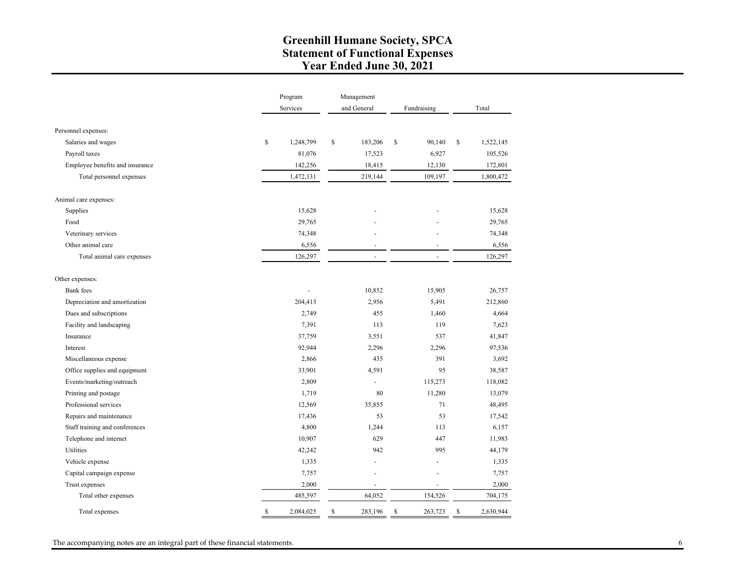#### **Greenhill Humane Society, SPCA Statement of Functional Expenses Year Ended June 30, 2021**

|                                 | Program<br>Services |              | Management<br>and General |    | Fundraising    |    | Total     |
|---------------------------------|---------------------|--------------|---------------------------|----|----------------|----|-----------|
|                                 |                     |              |                           |    |                |    |           |
| Personnel expenses:             |                     |              |                           |    |                |    |           |
| Salaries and wages              | \$<br>1,248,799     | \$           | 183,206                   | \$ | 90,140         | \$ | 1,522,145 |
| Payroll taxes                   | 81,076              |              | 17,523                    |    | 6,927          |    | 105,526   |
| Employee benefits and insurance | 142,256             |              | 18,415                    |    | 12,130         |    | 172,801   |
| Total personnel expenses        | 1,472,131           |              | 219,144                   |    | 109,197        |    | 1,800,472 |
| Animal care expenses:           |                     |              |                           |    |                |    |           |
| Supplies                        | 15,628              |              |                           |    |                |    | 15,628    |
| Food                            | 29,765              |              |                           |    |                |    | 29,765    |
| Veterinary services             | 74,348              |              |                           |    |                |    | 74,348    |
| Other animal care               | 6,556               |              |                           |    |                |    | 6,556     |
| Total animal care expenses      | 126,297             |              | $\sim$                    |    | $\overline{a}$ |    | 126,297   |
| Other expenses:                 |                     |              |                           |    |                |    |           |
| <b>Bank</b> fees                |                     |              | 10,852                    |    | 15,905         |    | 26,757    |
| Depreciation and amortization   | 204,413             |              | 2,956                     |    | 5,491          |    | 212,860   |
| Dues and subscriptions          | 2,749               |              | 455                       |    | 1,460          |    | 4,664     |
| Facility and landscaping        | 7,391               |              | 113                       |    | 119            |    | 7,623     |
| Insurance                       | 37,759              |              | 3,551                     |    | 537            |    | 41,847    |
| Interest                        | 92,944              |              | 2,296                     |    | 2,296          |    | 97,536    |
| Miscellaneous expense           | 2,866               |              | 435                       |    | 391            |    | 3,692     |
| Office supplies and equipment   | 33,901              |              | 4,591                     |    | 95             |    | 38,587    |
| Events/marketing/outreach       | 2,809               |              | $\blacksquare$            |    | 115,273        |    | 118,082   |
| Printing and postage            | 1,719               |              | 80                        |    | 11,280         |    | 13,079    |
| Professional services           | 12,569              |              | 35,855                    |    | 71             |    | 48,495    |
| Repairs and maintenance         | 17,436              |              | 53                        |    | 53             |    | 17,542    |
| Staff training and conferences  | 4,800               |              | 1,244                     |    | 113            |    | 6,157     |
| Telephone and internet          | 10,907              |              | 629                       |    | 447            |    | 11,983    |
| Utilities                       | 42,242              |              | 942                       |    | 995            |    | 44,179    |
| Vehicle expense                 | 1,335               |              | ÷.                        |    |                |    | 1,335     |
| Capital campaign expense        | 7,757               |              |                           |    |                |    | 7,757     |
| Trust expenses                  | 2,000               |              |                           |    |                |    | 2,000     |
| Total other expenses            | 485,597             |              | 64,052                    |    | 154,526        |    | 704,175   |
| Total expenses                  | \$<br>2,084,025     | $\mathbb{S}$ | 283,196                   | \$ | 263,723        | \$ | 2,630,944 |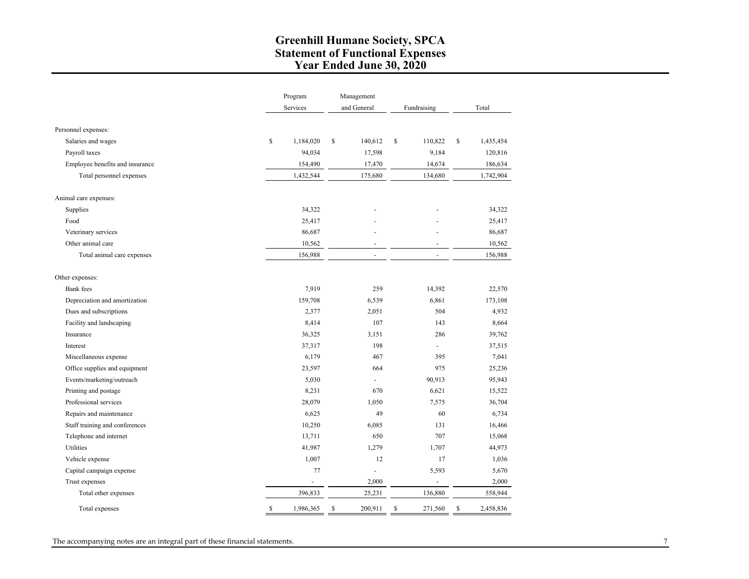#### **Greenhill Humane Society, SPCA Statement of Functional Expenses Year Ended June 30, 2020**

|                                 | Program      |           | Management  |                |             |         |                 |
|---------------------------------|--------------|-----------|-------------|----------------|-------------|---------|-----------------|
|                                 |              | Services  | and General |                | Fundraising |         | Total           |
| Personnel expenses:             |              |           |             |                |             |         |                 |
| Salaries and wages              | \$           | 1,184,020 | \$          | 140,612        | \$          | 110,822 | \$<br>1,435,454 |
| Payroll taxes                   |              | 94,034    |             | 17,598         |             | 9,184   | 120,816         |
| Employee benefits and insurance |              | 154,490   |             | 17,470         |             | 14,674  | 186,634         |
| Total personnel expenses        |              | 1,432,544 |             | 175,680        |             | 134,680 | 1,742,904       |
|                                 |              |           |             |                |             |         |                 |
| Animal care expenses:           |              |           |             |                |             |         |                 |
| Supplies                        |              | 34,322    |             |                |             |         | 34,322          |
| Food                            |              | 25,417    |             |                |             |         | 25,417          |
| Veterinary services             |              | 86,687    |             |                |             |         | 86,687          |
| Other animal care               |              | 10,562    |             |                |             |         | 10,562          |
| Total animal care expenses      |              | 156,988   |             | L,             |             | L.      | 156,988         |
|                                 |              |           |             |                |             |         |                 |
| Other expenses:                 |              |           |             |                |             |         |                 |
| <b>Bank</b> fees                |              | 7,919     |             | 259            |             | 14,392  | 22,570          |
| Depreciation and amortization   |              | 159,708   |             | 6,539          |             | 6,861   | 173,108         |
| Dues and subscriptions          |              | 2,377     |             | 2,051          |             | 504     | 4,932           |
| Facility and landscaping        |              | 8,414     |             | 107            |             | 143     | 8,664           |
| Insurance                       |              | 36,325    |             | 3,151          |             | 286     | 39,762          |
| Interest                        |              | 37,317    |             | 198            |             | $\sim$  | 37,515          |
| Miscellaneous expense           |              | 6,179     |             | 467            |             | 395     | 7,041           |
| Office supplies and equipment   |              | 23,597    |             | 664            |             | 975     | 25,236          |
| Events/marketing/outreach       |              | 5,030     |             | L,             |             | 90,913  | 95,943          |
| Printing and postage            |              | 8,231     |             | 670            |             | 6,621   | 15,522          |
| Professional services           |              | 28,079    |             | 1,050          |             | 7,575   | 36,704          |
| Repairs and maintenance         |              | 6,625     |             | 49             |             | 60      | 6,734           |
| Staff training and conferences  |              | 10,250    |             | 6,085          |             | 131     | 16,466          |
| Telephone and internet          |              | 13,711    |             | 650            |             | 707     | 15,068          |
| Utilities                       |              | 41,987    |             | 1,279          |             | 1,707   | 44,973          |
| Vehicle expense                 |              | 1,007     |             | 12             |             | 17      | 1,036           |
| Capital campaign expense        |              | 77        |             | $\overline{a}$ |             | 5,593   | 5,670           |
| Trust expenses                  |              |           |             | 2,000          |             |         | 2,000           |
| Total other expenses            |              | 396,833   |             | 25,231         |             | 136,880 | 558,944         |
| Total expenses                  | $\mathbb{S}$ | 1,986,365 | \$          | 200,911        | \$          | 271,560 | \$<br>2,458,836 |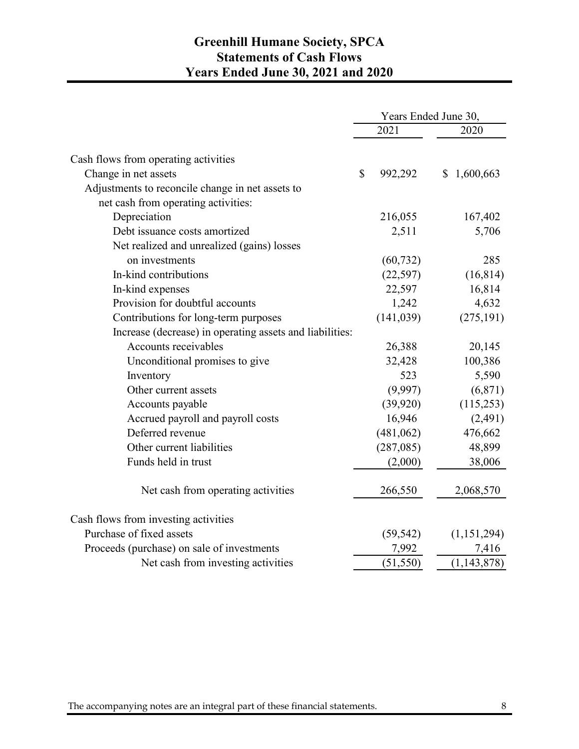## **Greenhill Humane Society, SPCA Statements of Cash Flows Years Ended June 30, 2021 and 2020**

|                                                          | Years Ended June 30, |            |               |  |
|----------------------------------------------------------|----------------------|------------|---------------|--|
|                                                          |                      | 2021       | 2020          |  |
| Cash flows from operating activities                     |                      |            |               |  |
| Change in net assets                                     | $\mathbb{S}$         | 992,292    | \$1,600,663   |  |
| Adjustments to reconcile change in net assets to         |                      |            |               |  |
| net cash from operating activities:                      |                      |            |               |  |
| Depreciation                                             |                      | 216,055    | 167,402       |  |
| Debt issuance costs amortized                            |                      | 2,511      | 5,706         |  |
| Net realized and unrealized (gains) losses               |                      |            |               |  |
| on investments                                           |                      | (60, 732)  | 285           |  |
| In-kind contributions                                    |                      | (22, 597)  | (16, 814)     |  |
| In-kind expenses                                         |                      | 22,597     | 16,814        |  |
| Provision for doubtful accounts                          |                      | 1,242      | 4,632         |  |
| Contributions for long-term purposes                     |                      | (141, 039) | (275, 191)    |  |
| Increase (decrease) in operating assets and liabilities: |                      |            |               |  |
| Accounts receivables                                     |                      | 26,388     | 20,145        |  |
| Unconditional promises to give                           |                      | 32,428     | 100,386       |  |
| Inventory                                                |                      | 523        | 5,590         |  |
| Other current assets                                     |                      | (9,997)    | (6,871)       |  |
| Accounts payable                                         |                      | (39, 920)  | (115,253)     |  |
| Accrued payroll and payroll costs                        |                      | 16,946     | (2,491)       |  |
| Deferred revenue                                         |                      | (481,062)  | 476,662       |  |
| Other current liabilities                                |                      | (287,085)  | 48,899        |  |
| Funds held in trust                                      |                      | (2,000)    | 38,006        |  |
| Net cash from operating activities                       |                      | 266,550    | 2,068,570     |  |
| Cash flows from investing activities                     |                      |            |               |  |
| Purchase of fixed assets                                 |                      | (59, 542)  | (1,151,294)   |  |
| Proceeds (purchase) on sale of investments               |                      | 7,992      | 7,416         |  |
| Net cash from investing activities                       |                      | (51, 550)  | (1, 143, 878) |  |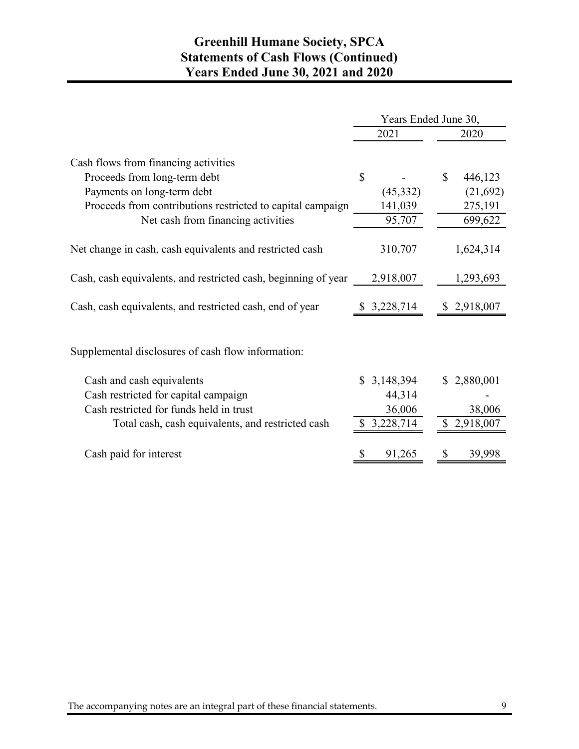## **Greenhill Humane Society, SPCA Statements of Cash Flows (Continued) Years Ended June 30, 2021 and 2020**

|                                                                | Years Ended June 30, |                          |  |  |  |
|----------------------------------------------------------------|----------------------|--------------------------|--|--|--|
|                                                                | 2021                 | 2020                     |  |  |  |
| Cash flows from financing activities                           |                      |                          |  |  |  |
| Proceeds from long-term debt                                   | $\mathbb{S}$         | $\mathcal{S}$<br>446,123 |  |  |  |
| Payments on long-term debt                                     | (45, 332)            | (21,692)                 |  |  |  |
| Proceeds from contributions restricted to capital campaign     | 141,039              | 275,191                  |  |  |  |
| Net cash from financing activities                             | 95,707               | 699,622                  |  |  |  |
| Net change in cash, cash equivalents and restricted cash       | 310,707              | 1,624,314                |  |  |  |
| Cash, cash equivalents, and restricted cash, beginning of year | 2,918,007            | 1,293,693                |  |  |  |
| Cash, cash equivalents, and restricted cash, end of year       | \$3,228,714          | 2,918,007                |  |  |  |
| Supplemental disclosures of cash flow information:             |                      |                          |  |  |  |
| Cash and cash equivalents                                      | \$3,148,394          | \$2,880,001              |  |  |  |
| Cash restricted for capital campaign                           | 44,314               |                          |  |  |  |
| Cash restricted for funds held in trust                        | 36,006               | 38,006                   |  |  |  |
| Total cash, cash equivalents, and restricted cash              | \$3,228,714          | \$2,918,007              |  |  |  |
|                                                                |                      |                          |  |  |  |
| Cash paid for interest                                         | 91,265               | 39,998                   |  |  |  |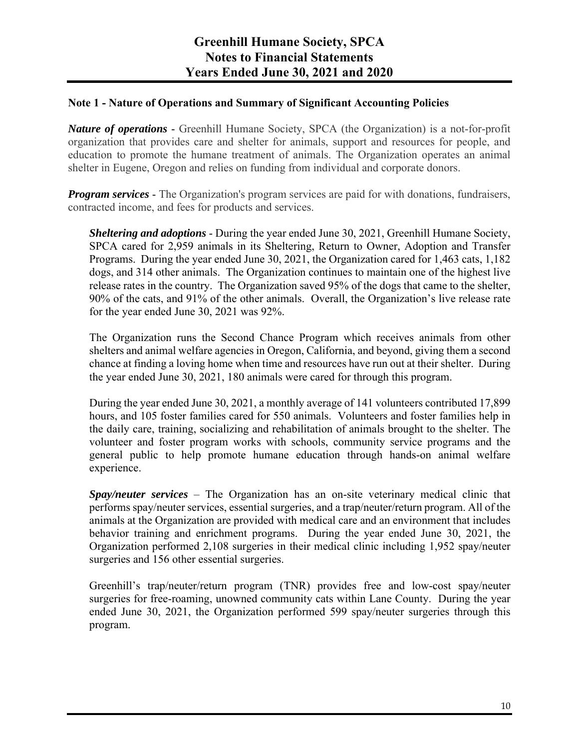*Nature of operations* - Greenhill Humane Society, SPCA (the Organization) is a not-for-profit organization that provides care and shelter for animals, support and resources for people, and education to promote the humane treatment of animals. The Organization operates an animal shelter in Eugene, Oregon and relies on funding from individual and corporate donors.

*Program services* - The Organization's program services are paid for with donations, fundraisers, contracted income, and fees for products and services.

*Sheltering and adoptions* - During the year ended June 30, 2021, Greenhill Humane Society, SPCA cared for 2,959 animals in its Sheltering, Return to Owner, Adoption and Transfer Programs. During the year ended June 30, 2021, the Organization cared for 1,463 cats, 1,182 dogs, and 314 other animals. The Organization continues to maintain one of the highest live release rates in the country. The Organization saved 95% of the dogs that came to the shelter, 90% of the cats, and 91% of the other animals. Overall, the Organization's live release rate for the year ended June 30, 2021 was 92%.

The Organization runs the Second Chance Program which receives animals from other shelters and animal welfare agencies in Oregon, California, and beyond, giving them a second chance at finding a loving home when time and resources have run out at their shelter. During the year ended June 30, 2021, 180 animals were cared for through this program.

During the year ended June 30, 2021, a monthly average of 141 volunteers contributed 17,899 hours, and 105 foster families cared for 550 animals. Volunteers and foster families help in the daily care, training, socializing and rehabilitation of animals brought to the shelter. The volunteer and foster program works with schools, community service programs and the general public to help promote humane education through hands-on animal welfare experience.

*Spay/neuter services* – The Organization has an on-site veterinary medical clinic that performs spay/neuter services, essential surgeries, and a trap/neuter/return program. All of the animals at the Organization are provided with medical care and an environment that includes behavior training and enrichment programs. During the year ended June 30, 2021, the Organization performed 2,108 surgeries in their medical clinic including 1,952 spay/neuter surgeries and 156 other essential surgeries.

Greenhill's trap/neuter/return program (TNR) provides free and low-cost spay/neuter surgeries for free-roaming, unowned community cats within Lane County. During the year ended June 30, 2021, the Organization performed 599 spay/neuter surgeries through this program.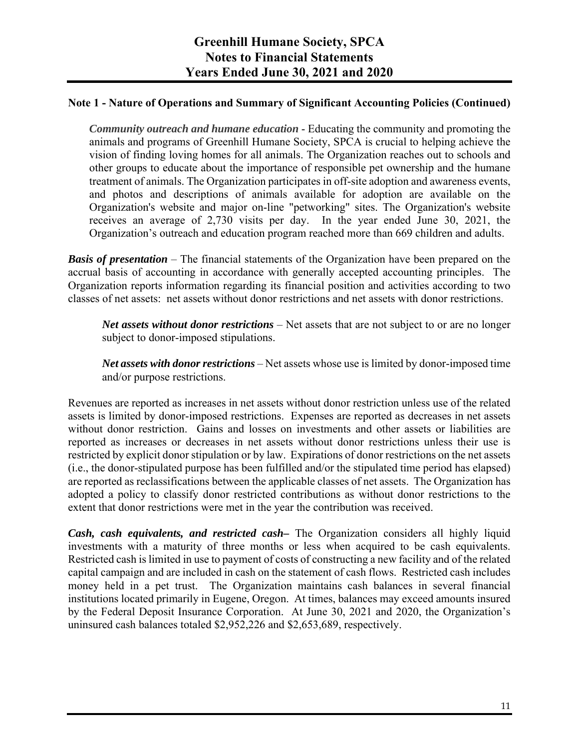*Community outreach and humane education* - Educating the community and promoting the animals and programs of Greenhill Humane Society, SPCA is crucial to helping achieve the vision of finding loving homes for all animals. The Organization reaches out to schools and other groups to educate about the importance of responsible pet ownership and the humane treatment of animals. The Organization participates in off-site adoption and awareness events, and photos and descriptions of animals available for adoption are available on the Organization's website and major on-line "petworking" sites. The Organization's website receives an average of 2,730 visits per day. In the year ended June 30, 2021, the Organization's outreach and education program reached more than 669 children and adults.

*Basis of presentation* – The financial statements of the Organization have been prepared on the accrual basis of accounting in accordance with generally accepted accounting principles. The Organization reports information regarding its financial position and activities according to two classes of net assets: net assets without donor restrictions and net assets with donor restrictions.

*Net assets without donor restrictions* – Net assets that are not subject to or are no longer subject to donor-imposed stipulations.

*Net assets with donor restrictions* – Net assets whose use is limited by donor-imposed time and/or purpose restrictions.

Revenues are reported as increases in net assets without donor restriction unless use of the related assets is limited by donor-imposed restrictions. Expenses are reported as decreases in net assets without donor restriction. Gains and losses on investments and other assets or liabilities are reported as increases or decreases in net assets without donor restrictions unless their use is restricted by explicit donor stipulation or by law. Expirations of donor restrictions on the net assets (i.e., the donor-stipulated purpose has been fulfilled and/or the stipulated time period has elapsed) are reported as reclassifications between the applicable classes of net assets. The Organization has adopted a policy to classify donor restricted contributions as without donor restrictions to the extent that donor restrictions were met in the year the contribution was received.

*Cash, cash equivalents, and restricted cash–* The Organization considers all highly liquid investments with a maturity of three months or less when acquired to be cash equivalents. Restricted cash is limited in use to payment of costs of constructing a new facility and of the related capital campaign and are included in cash on the statement of cash flows. Restricted cash includes money held in a pet trust. The Organization maintains cash balances in several financial institutions located primarily in Eugene, Oregon. At times, balances may exceed amounts insured by the Federal Deposit Insurance Corporation. At June 30, 2021 and 2020, the Organization's uninsured cash balances totaled \$2,952,226 and \$2,653,689, respectively.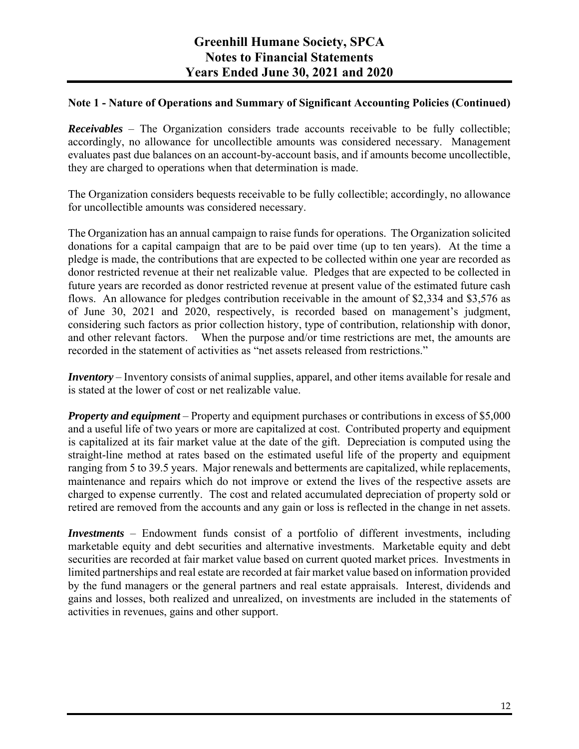*Receivables* – The Organization considers trade accounts receivable to be fully collectible; accordingly, no allowance for uncollectible amounts was considered necessary. Management evaluates past due balances on an account-by-account basis, and if amounts become uncollectible, they are charged to operations when that determination is made.

The Organization considers bequests receivable to be fully collectible; accordingly, no allowance for uncollectible amounts was considered necessary.

The Organization has an annual campaign to raise funds for operations. The Organization solicited donations for a capital campaign that are to be paid over time (up to ten years). At the time a pledge is made, the contributions that are expected to be collected within one year are recorded as donor restricted revenue at their net realizable value. Pledges that are expected to be collected in future years are recorded as donor restricted revenue at present value of the estimated future cash flows. An allowance for pledges contribution receivable in the amount of \$2,334 and \$3,576 as of June 30, 2021 and 2020, respectively, is recorded based on management's judgment, considering such factors as prior collection history, type of contribution, relationship with donor, and other relevant factors. When the purpose and/or time restrictions are met, the amounts are recorded in the statement of activities as "net assets released from restrictions."

*Inventory* – Inventory consists of animal supplies, apparel, and other items available for resale and is stated at the lower of cost or net realizable value.

*Property and equipment* – Property and equipment purchases or contributions in excess of \$5,000 and a useful life of two years or more are capitalized at cost. Contributed property and equipment is capitalized at its fair market value at the date of the gift. Depreciation is computed using the straight-line method at rates based on the estimated useful life of the property and equipment ranging from 5 to 39.5 years. Major renewals and betterments are capitalized, while replacements, maintenance and repairs which do not improve or extend the lives of the respective assets are charged to expense currently. The cost and related accumulated depreciation of property sold or retired are removed from the accounts and any gain or loss is reflected in the change in net assets.

*Investments* – Endowment funds consist of a portfolio of different investments, including marketable equity and debt securities and alternative investments. Marketable equity and debt securities are recorded at fair market value based on current quoted market prices. Investments in limited partnerships and real estate are recorded at fair market value based on information provided by the fund managers or the general partners and real estate appraisals. Interest, dividends and gains and losses, both realized and unrealized, on investments are included in the statements of activities in revenues, gains and other support.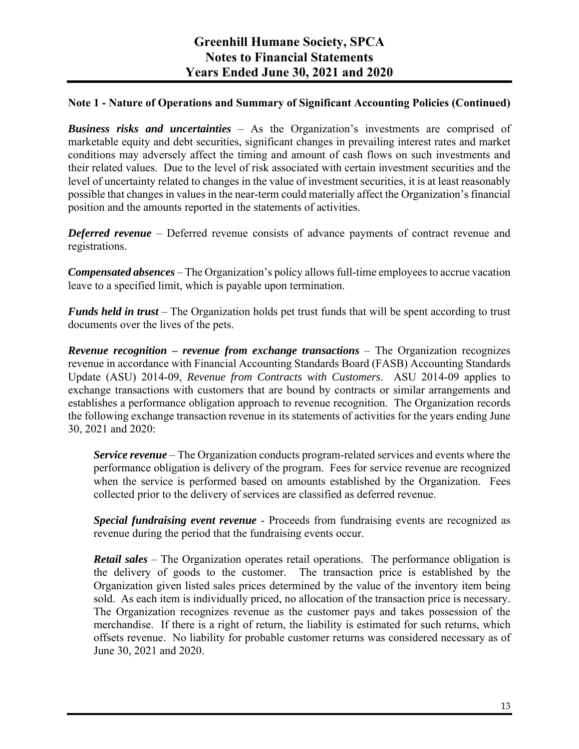*Business risks and uncertainties* – As the Organization's investments are comprised of marketable equity and debt securities, significant changes in prevailing interest rates and market conditions may adversely affect the timing and amount of cash flows on such investments and their related values. Due to the level of risk associated with certain investment securities and the level of uncertainty related to changes in the value of investment securities, it is at least reasonably possible that changes in values in the near-term could materially affect the Organization's financial position and the amounts reported in the statements of activities.

**Deferred revenue** – Deferred revenue consists of advance payments of contract revenue and registrations.

*Compensated absences* – The Organization's policy allows full-time employees to accrue vacation leave to a specified limit, which is payable upon termination.

*Funds held in trust* – The Organization holds pet trust funds that will be spent according to trust documents over the lives of the pets.

*Revenue recognition* **–** *revenue from exchange transactions* – The Organization recognizes revenue in accordance with Financial Accounting Standards Board (FASB) Accounting Standards Update (ASU) 2014-09, *Revenue from Contracts with Customers*. ASU 2014-09 applies to exchange transactions with customers that are bound by contracts or similar arrangements and establishes a performance obligation approach to revenue recognition. The Organization records the following exchange transaction revenue in its statements of activities for the years ending June 30, 2021 and 2020:

*Service revenue* – The Organization conducts program-related services and events where the performance obligation is delivery of the program. Fees for service revenue are recognized when the service is performed based on amounts established by the Organization. Fees collected prior to the delivery of services are classified as deferred revenue.

*Special fundraising event revenue* - Proceeds from fundraising events are recognized as revenue during the period that the fundraising events occur.

*Retail sales* – The Organization operates retail operations. The performance obligation is the delivery of goods to the customer. The transaction price is established by the Organization given listed sales prices determined by the value of the inventory item being sold. As each item is individually priced, no allocation of the transaction price is necessary. The Organization recognizes revenue as the customer pays and takes possession of the merchandise. If there is a right of return, the liability is estimated for such returns, which offsets revenue. No liability for probable customer returns was considered necessary as of June 30, 2021 and 2020.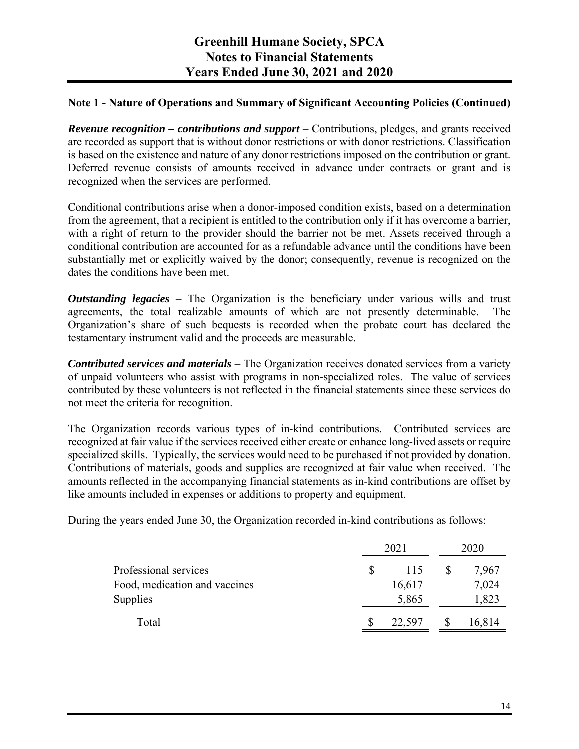*Revenue recognition – contributions and support* – Contributions, pledges, and grants received are recorded as support that is without donor restrictions or with donor restrictions. Classification is based on the existence and nature of any donor restrictions imposed on the contribution or grant. Deferred revenue consists of amounts received in advance under contracts or grant and is recognized when the services are performed.

Conditional contributions arise when a donor-imposed condition exists, based on a determination from the agreement, that a recipient is entitled to the contribution only if it has overcome a barrier, with a right of return to the provider should the barrier not be met. Assets received through a conditional contribution are accounted for as a refundable advance until the conditions have been substantially met or explicitly waived by the donor; consequently, revenue is recognized on the dates the conditions have been met.

*Outstanding legacies* – The Organization is the beneficiary under various wills and trust agreements, the total realizable amounts of which are not presently determinable. The Organization's share of such bequests is recorded when the probate court has declared the testamentary instrument valid and the proceeds are measurable.

*Contributed services and materials* – The Organization receives donated services from a variety of unpaid volunteers who assist with programs in non-specialized roles. The value of services contributed by these volunteers is not reflected in the financial statements since these services do not meet the criteria for recognition.

The Organization records various types of in-kind contributions. Contributed services are recognized at fair value if the services received either create or enhance long-lived assets or require specialized skills. Typically, the services would need to be purchased if not provided by donation. Contributions of materials, goods and supplies are recognized at fair value when received. The amounts reflected in the accompanying financial statements as in-kind contributions are offset by like amounts included in expenses or additions to property and equipment.

During the years ended June 30, the Organization recorded in-kind contributions as follows:

|                               | 2021   |  |        |
|-------------------------------|--------|--|--------|
| Professional services         | 115    |  | 7,967  |
| Food, medication and vaccines | 16,617 |  | 7,024  |
| Supplies                      | 5,865  |  | 1,823  |
| Total                         | 22,597 |  | 16,814 |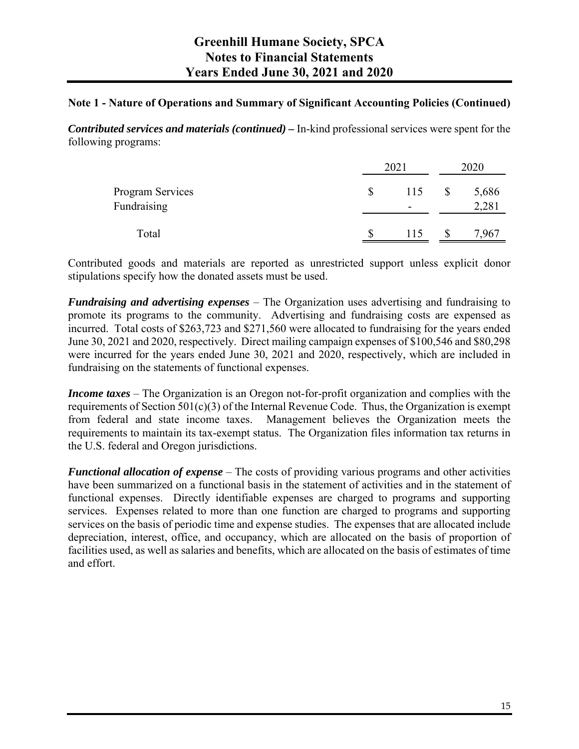*Contributed services and materials (continued)* – In-kind professional services were spent for the following programs:

|                                 | 2021         |          |               | 2020           |  |  |
|---------------------------------|--------------|----------|---------------|----------------|--|--|
| Program Services<br>Fundraising | <sup>S</sup> | 115<br>۰ | $\mathcal{S}$ | 5,686<br>2,281 |  |  |
| Total                           |              | 115      | S             | 7,967          |  |  |

Contributed goods and materials are reported as unrestricted support unless explicit donor stipulations specify how the donated assets must be used.

*Fundraising and advertising expenses* – The Organization uses advertising and fundraising to promote its programs to the community. Advertising and fundraising costs are expensed as incurred. Total costs of \$263,723 and \$271,560 were allocated to fundraising for the years ended June 30, 2021 and 2020, respectively. Direct mailing campaign expenses of \$100,546 and \$80,298 were incurred for the years ended June 30, 2021 and 2020, respectively, which are included in fundraising on the statements of functional expenses.

*Income taxes* – The Organization is an Oregon not-for-profit organization and complies with the requirements of Section 501(c)(3) of the Internal Revenue Code. Thus, the Organization is exempt from federal and state income taxes. Management believes the Organization meets the requirements to maintain its tax-exempt status. The Organization files information tax returns in the U.S. federal and Oregon jurisdictions.

*Functional allocation of expense* – The costs of providing various programs and other activities have been summarized on a functional basis in the statement of activities and in the statement of functional expenses. Directly identifiable expenses are charged to programs and supporting services. Expenses related to more than one function are charged to programs and supporting services on the basis of periodic time and expense studies. The expenses that are allocated include depreciation, interest, office, and occupancy, which are allocated on the basis of proportion of facilities used, as well as salaries and benefits, which are allocated on the basis of estimates of time and effort.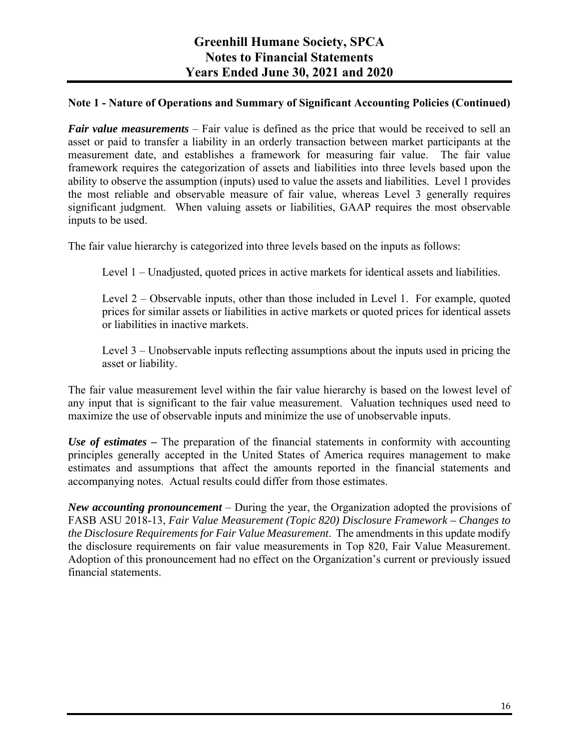*Fair value measurements* – Fair value is defined as the price that would be received to sell an asset or paid to transfer a liability in an orderly transaction between market participants at the measurement date, and establishes a framework for measuring fair value. The fair value framework requires the categorization of assets and liabilities into three levels based upon the ability to observe the assumption (inputs) used to value the assets and liabilities. Level 1 provides the most reliable and observable measure of fair value, whereas Level 3 generally requires significant judgment. When valuing assets or liabilities, GAAP requires the most observable inputs to be used.

The fair value hierarchy is categorized into three levels based on the inputs as follows:

Level 1 – Unadjusted, quoted prices in active markets for identical assets and liabilities.

Level 2 – Observable inputs, other than those included in Level 1. For example, quoted prices for similar assets or liabilities in active markets or quoted prices for identical assets or liabilities in inactive markets.

Level 3 – Unobservable inputs reflecting assumptions about the inputs used in pricing the asset or liability.

The fair value measurement level within the fair value hierarchy is based on the lowest level of any input that is significant to the fair value measurement. Valuation techniques used need to maximize the use of observable inputs and minimize the use of unobservable inputs.

*Use of estimates –* The preparation of the financial statements in conformity with accounting principles generally accepted in the United States of America requires management to make estimates and assumptions that affect the amounts reported in the financial statements and accompanying notes. Actual results could differ from those estimates.

*New accounting pronouncement* – During the year, the Organization adopted the provisions of FASB ASU 2018-13, *Fair Value Measurement (Topic 820) Disclosure Framework – Changes to the Disclosure Requirements for Fair Value Measurement*. The amendments in this update modify the disclosure requirements on fair value measurements in Top 820, Fair Value Measurement. Adoption of this pronouncement had no effect on the Organization's current or previously issued financial statements.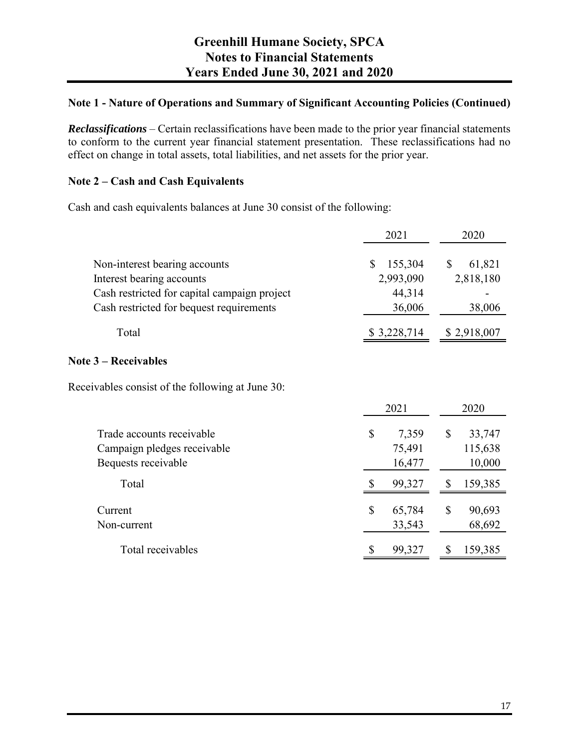*Reclassifications* – Certain reclassifications have been made to the prior year financial statements to conform to the current year financial statement presentation. These reclassifications had no effect on change in total assets, total liabilities, and net assets for the prior year.

#### **Note 2 – Cash and Cash Equivalents**

Cash and cash equivalents balances at June 30 consist of the following:

|                                              | 2021         | 2020        |
|----------------------------------------------|--------------|-------------|
| Non-interest bearing accounts                | 155,304<br>S | 61,821      |
| Interest bearing accounts                    | 2,993,090    | 2,818,180   |
| Cash restricted for capital campaign project | 44,314       |             |
| Cash restricted for bequest requirements     | 36,006       | 38,006      |
| Total                                        | \$3,228,714  | \$2,918,007 |

#### **Note 3 – Receivables**

Receivables consist of the following at June 30:

|                                                          | 2021 |                  | 2020                    |  |
|----------------------------------------------------------|------|------------------|-------------------------|--|
| Trade accounts receivable<br>Campaign pledges receivable | \$   | 7,359<br>75,491  | \$<br>33,747<br>115,638 |  |
| Bequests receivable                                      |      | 16,477           | 10,000                  |  |
| Total                                                    | \$   | 99,327           | \$<br>159,385           |  |
| Current<br>Non-current                                   | \$   | 65,784<br>33,543 | \$<br>90,693<br>68,692  |  |
| Total receivables                                        | \$   | 99,327           | 159,385                 |  |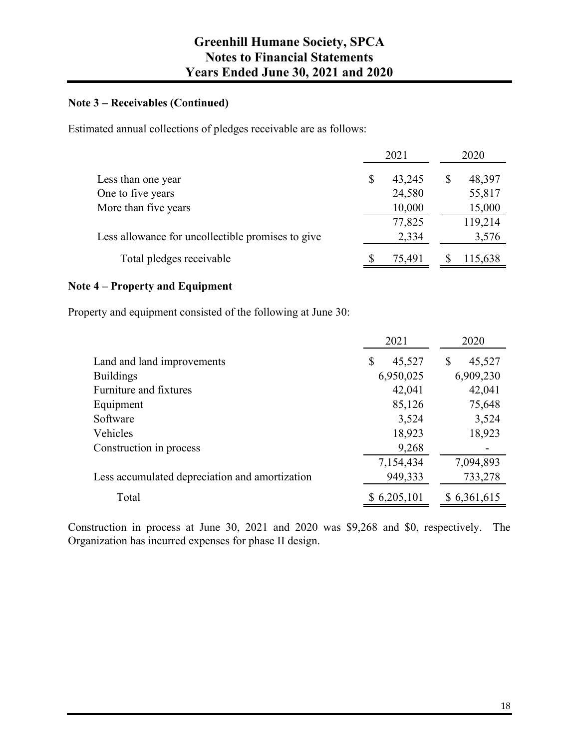#### **Note 3 – Receivables (Continued)**

Estimated annual collections of pledges receivable are as follows:

|                                                                                                         | 2021                   |              | 2020             |
|---------------------------------------------------------------------------------------------------------|------------------------|--------------|------------------|
| Less than one year<br>One to five years                                                                 | \$<br>43,245<br>24,580 | $\mathbb{S}$ | 48,397<br>55,817 |
| More than five years                                                                                    | 10,000                 |              | 15,000           |
| Less allowance for uncollectible promises to give                                                       | 77,825<br>2,334        |              | 119,214<br>3,576 |
| Total pledges receivable                                                                                | 75,491                 | \$           | 115,638          |
| <b>Note 4 – Property and Equipment</b><br>Property and equipment consisted of the following at June 30: |                        |              |                  |
|                                                                                                         | 2021                   |              | 2020             |
| Land and land improvements                                                                              | \$<br>45,527           | $\mathbb{S}$ | 45,527           |
| <b>Buildings</b>                                                                                        | 6,950,025              |              | 6,909,230        |
| Furniture and fixtures                                                                                  | 42,041                 |              | 42,041           |
| Equipment                                                                                               | 85,126                 |              | 75,648           |
| Software                                                                                                | 3,524                  |              | 3,524            |
| Vehicles                                                                                                | 18,923                 |              | 18,923           |
| Construction in process                                                                                 | 9,268                  |              |                  |
|                                                                                                         | 7,154,434              |              | 7,094,893        |

Less accumulated depreciation and amortization 949,333 733,278 Total \$ 6,205,101 \$ 6,361,615

Construction in process at June 30, 2021 and 2020 was \$9,268 and \$0, respectively. The Organization has incurred expenses for phase II design.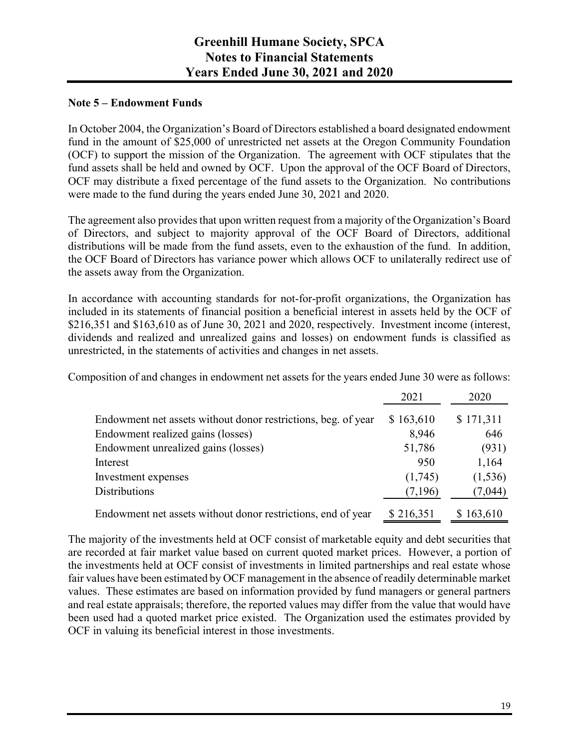#### **Note 5 – Endowment Funds**

In October 2004, the Organization's Board of Directors established a board designated endowment fund in the amount of \$25,000 of unrestricted net assets at the Oregon Community Foundation (OCF) to support the mission of the Organization. The agreement with OCF stipulates that the fund assets shall be held and owned by OCF. Upon the approval of the OCF Board of Directors, OCF may distribute a fixed percentage of the fund assets to the Organization. No contributions were made to the fund during the years ended June 30, 2021 and 2020.

The agreement also provides that upon written request from a majority of the Organization's Board of Directors, and subject to majority approval of the OCF Board of Directors, additional distributions will be made from the fund assets, even to the exhaustion of the fund. In addition, the OCF Board of Directors has variance power which allows OCF to unilaterally redirect use of the assets away from the Organization.

In accordance with accounting standards for not-for-profit organizations, the Organization has included in its statements of financial position a beneficial interest in assets held by the OCF of \$216,351 and \$163,610 as of June 30, 2021 and 2020, respectively. Investment income (interest, dividends and realized and unrealized gains and losses) on endowment funds is classified as unrestricted, in the statements of activities and changes in net assets.

Composition of and changes in endowment net assets for the years ended June 30 were as follows:

|                                                               | 2021      | 2020      |
|---------------------------------------------------------------|-----------|-----------|
| Endowment net assets without donor restrictions, beg. of year | \$163,610 | \$171,311 |
| Endowment realized gains (losses)                             | 8,946     | 646       |
| Endowment unrealized gains (losses)                           | 51,786    | (931)     |
| Interest                                                      | 950       | 1,164     |
| Investment expenses                                           | (1,745)   | (1, 536)  |
| <b>Distributions</b>                                          | (7,196)   | (7,044)   |
| Endowment net assets without donor restrictions, end of year  | \$216,351 | \$163,610 |

The majority of the investments held at OCF consist of marketable equity and debt securities that are recorded at fair market value based on current quoted market prices. However, a portion of the investments held at OCF consist of investments in limited partnerships and real estate whose fair values have been estimated by OCF management in the absence of readily determinable market values. These estimates are based on information provided by fund managers or general partners and real estate appraisals; therefore, the reported values may differ from the value that would have been used had a quoted market price existed. The Organization used the estimates provided by OCF in valuing its beneficial interest in those investments.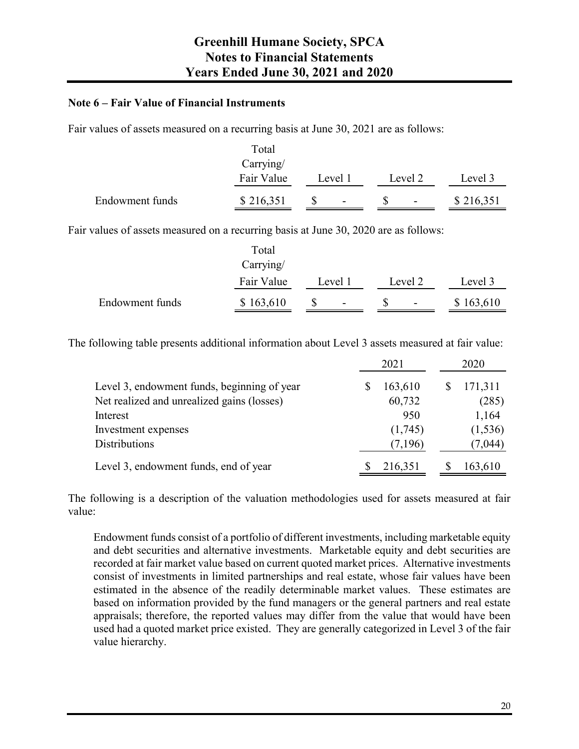#### **Note 6 – Fair Value of Financial Instruments**

Fair values of assets measured on a recurring basis at June 30, 2021 are as follows:

|                 | Total      |                          |         |           |
|-----------------|------------|--------------------------|---------|-----------|
|                 | Carrying/  |                          |         |           |
|                 | Fair Value | Level 1                  | Level 2 | Level 3   |
| Endowment funds | \$216,351  | $\overline{\phantom{a}}$ | -       | \$216,351 |

Fair values of assets measured on a recurring basis at June 30, 2020 are as follows:

|                 | Total      |         |         |           |
|-----------------|------------|---------|---------|-----------|
|                 | Carrying/  |         |         |           |
|                 | Fair Value | Level 1 | Level 2 | Level 3   |
| Endowment funds | \$163,610  | -       | -       | \$163,610 |

The following table presents additional information about Level 3 assets measured at fair value:

|                                             |   | 2021    | 2020     |
|---------------------------------------------|---|---------|----------|
| Level 3, endowment funds, beginning of year | S | 163,610 | 171,311  |
| Net realized and unrealized gains (losses)  |   | 60,732  | (285)    |
| Interest                                    |   | 950     | 1,164    |
| Investment expenses                         |   | (1,745) | (1, 536) |
| Distributions                               |   | (7,196) | (7,044)  |
| Level 3, endowment funds, end of year       |   | 216,351 | 163,610  |

The following is a description of the valuation methodologies used for assets measured at fair value:

Endowment funds consist of a portfolio of different investments, including marketable equity and debt securities and alternative investments. Marketable equity and debt securities are recorded at fair market value based on current quoted market prices. Alternative investments consist of investments in limited partnerships and real estate, whose fair values have been estimated in the absence of the readily determinable market values. These estimates are based on information provided by the fund managers or the general partners and real estate appraisals; therefore, the reported values may differ from the value that would have been used had a quoted market price existed. They are generally categorized in Level 3 of the fair value hierarchy.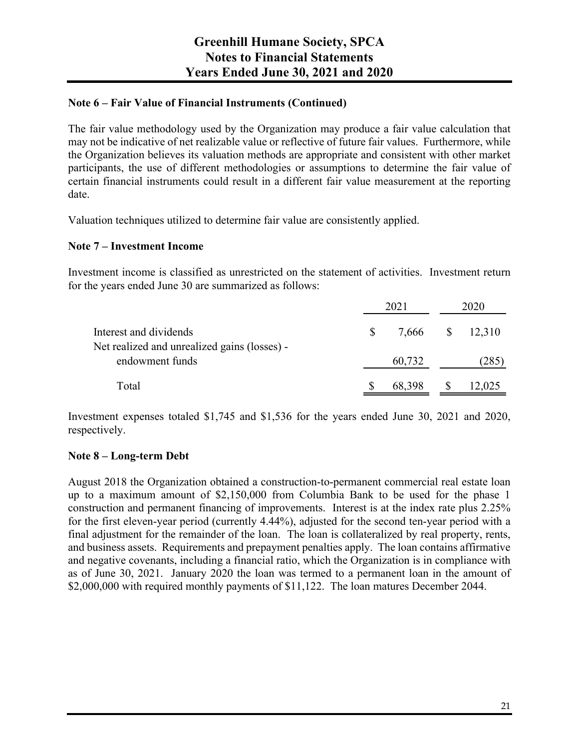#### **Note 6 – Fair Value of Financial Instruments (Continued)**

The fair value methodology used by the Organization may produce a fair value calculation that may not be indicative of net realizable value or reflective of future fair values. Furthermore, while the Organization believes its valuation methods are appropriate and consistent with other market participants, the use of different methodologies or assumptions to determine the fair value of certain financial instruments could result in a different fair value measurement at the reporting date.

Valuation techniques utilized to determine fair value are consistently applied.

#### **Note 7 – Investment Income**

Investment income is classified as unrestricted on the statement of activities. Investment return for the years ended June 30 are summarized as follows:

|                                                                 |              | 2021   | 2020            |
|-----------------------------------------------------------------|--------------|--------|-----------------|
| Interest and dividends                                          | <sup>S</sup> |        | 7,666 \$ 12,310 |
| Net realized and unrealized gains (losses) -<br>endowment funds |              | 60,732 | (285)           |
| Total                                                           |              | 68,398 | 12,025          |

Investment expenses totaled \$1,745 and \$1,536 for the years ended June 30, 2021 and 2020, respectively.

#### **Note 8 – Long-term Debt**

August 2018 the Organization obtained a construction-to-permanent commercial real estate loan up to a maximum amount of \$2,150,000 from Columbia Bank to be used for the phase 1 construction and permanent financing of improvements. Interest is at the index rate plus 2.25% for the first eleven-year period (currently 4.44%), adjusted for the second ten-year period with a final adjustment for the remainder of the loan. The loan is collateralized by real property, rents, and business assets. Requirements and prepayment penalties apply. The loan contains affirmative and negative covenants, including a financial ratio, which the Organization is in compliance with as of June 30, 2021. January 2020 the loan was termed to a permanent loan in the amount of \$2,000,000 with required monthly payments of \$11,122. The loan matures December 2044.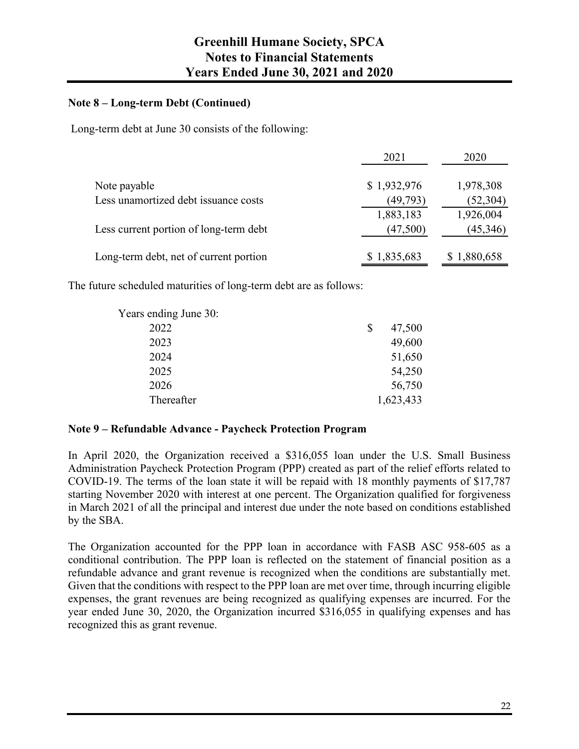#### **Note 8 – Long-term Debt (Continued)**

Long-term debt at June 30 consists of the following:

|                                        | 2021        | 2020        |
|----------------------------------------|-------------|-------------|
| Note payable                           | \$1,932,976 | 1,978,308   |
| Less unamortized debt issuance costs   | (49, 793)   | (52, 304)   |
|                                        | 1,883,183   | 1,926,004   |
| Less current portion of long-term debt | (47,500)    | (45,346)    |
| Long-term debt, net of current portion | \$1,835,683 | \$1,880,658 |

The future scheduled maturities of long-term debt are as follows:

| Years ending June 30: |              |
|-----------------------|--------------|
| 2022                  | \$<br>47,500 |
| 2023                  | 49,600       |
| 2024                  | 51,650       |
| 2025                  | 54,250       |
| 2026                  | 56,750       |
| Thereafter            | 1,623,433    |
|                       |              |

#### **Note 9 – Refundable Advance - Paycheck Protection Program**

In April 2020, the Organization received a \$316,055 loan under the U.S. Small Business Administration Paycheck Protection Program (PPP) created as part of the relief efforts related to COVID-19. The terms of the loan state it will be repaid with 18 monthly payments of \$17,787 starting November 2020 with interest at one percent. The Organization qualified for forgiveness in March 2021 of all the principal and interest due under the note based on conditions established by the SBA.

The Organization accounted for the PPP loan in accordance with FASB ASC 958-605 as a conditional contribution. The PPP loan is reflected on the statement of financial position as a refundable advance and grant revenue is recognized when the conditions are substantially met. Given that the conditions with respect to the PPP loan are met over time, through incurring eligible expenses, the grant revenues are being recognized as qualifying expenses are incurred. For the year ended June 30, 2020, the Organization incurred \$316,055 in qualifying expenses and has recognized this as grant revenue.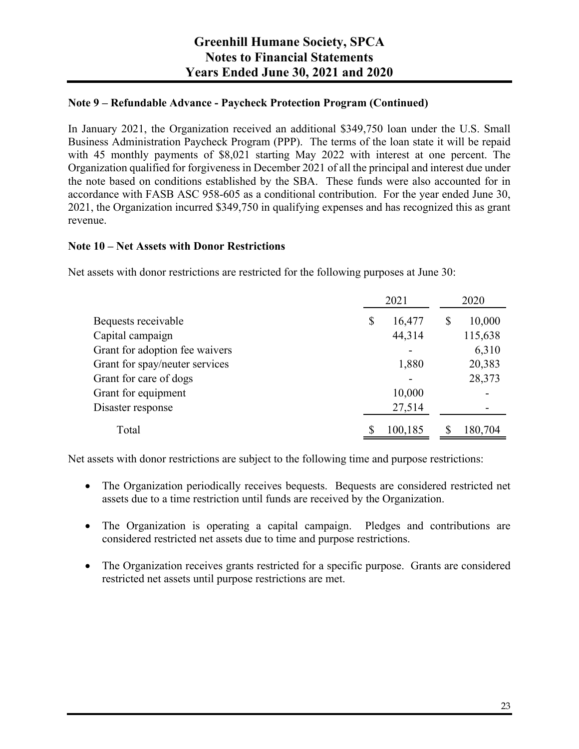#### **Note 9 – Refundable Advance - Paycheck Protection Program (Continued)**

In January 2021, the Organization received an additional \$349,750 loan under the U.S. Small Business Administration Paycheck Program (PPP). The terms of the loan state it will be repaid with 45 monthly payments of \$8,021 starting May 2022 with interest at one percent. The Organization qualified for forgiveness in December 2021 of all the principal and interest due under the note based on conditions established by the SBA. These funds were also accounted for in accordance with FASB ASC 958-605 as a conditional contribution. For the year ended June 30, 2021, the Organization incurred \$349,750 in qualifying expenses and has recognized this as grant revenue.

#### **Note 10 – Net Assets with Donor Restrictions**

Net assets with donor restrictions are restricted for the following purposes at June 30:

|                                | 2021         |   | 2020    |
|--------------------------------|--------------|---|---------|
| Bequests receivable            | \$<br>16,477 | S | 10,000  |
| Capital campaign               | 44,314       |   | 115,638 |
| Grant for adoption fee waivers |              |   | 6,310   |
| Grant for spay/neuter services | 1,880        |   | 20,383  |
| Grant for care of dogs         |              |   | 28,373  |
| Grant for equipment            | 10,000       |   |         |
| Disaster response              | 27,514       |   |         |
| Total                          | 100,185      |   | 180,704 |

Net assets with donor restrictions are subject to the following time and purpose restrictions:

- The Organization periodically receives bequests. Bequests are considered restricted net assets due to a time restriction until funds are received by the Organization.
- The Organization is operating a capital campaign. Pledges and contributions are considered restricted net assets due to time and purpose restrictions.
- The Organization receives grants restricted for a specific purpose. Grants are considered restricted net assets until purpose restrictions are met.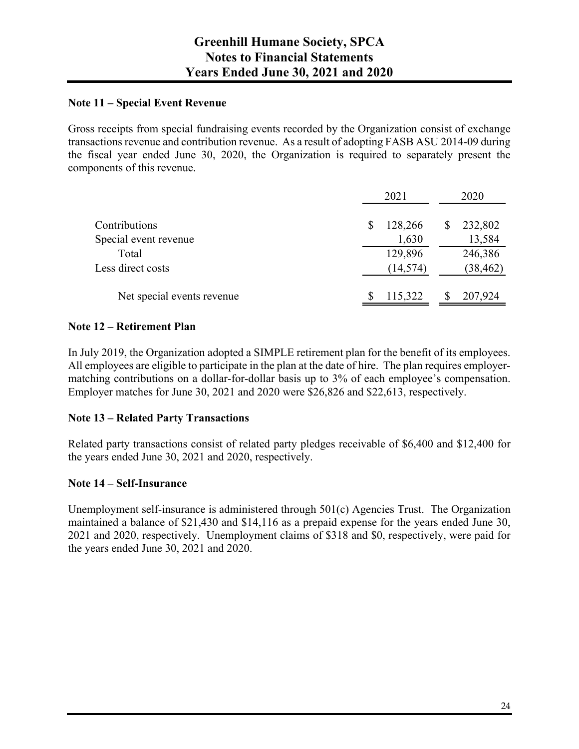#### **Note 11 – Special Event Revenue**

Gross receipts from special fundraising events recorded by the Organization consist of exchange transactions revenue and contribution revenue. As a result of adopting FASB ASU 2014-09 during the fiscal year ended June 30, 2020, the Organization is required to separately present the components of this revenue.

|                            | 2021      | 2020          |  |
|----------------------------|-----------|---------------|--|
| Contributions              | 128,266   | 232,802<br>\$ |  |
| Special event revenue      | 1,630     | 13,584        |  |
| Total                      | 129,896   | 246,386       |  |
| Less direct costs          | (14, 574) | (38, 462)     |  |
| Net special events revenue | 115,322   | 207,924       |  |

#### **Note 12 – Retirement Plan**

In July 2019, the Organization adopted a SIMPLE retirement plan for the benefit of its employees. All employees are eligible to participate in the plan at the date of hire. The plan requires employermatching contributions on a dollar-for-dollar basis up to 3% of each employee's compensation. Employer matches for June 30, 2021 and 2020 were \$26,826 and \$22,613, respectively.

#### **Note 13 – Related Party Transactions**

Related party transactions consist of related party pledges receivable of \$6,400 and \$12,400 for the years ended June 30, 2021 and 2020, respectively.

#### **Note 14 – Self-Insurance**

Unemployment self-insurance is administered through 501(c) Agencies Trust. The Organization maintained a balance of \$21,430 and \$14,116 as a prepaid expense for the years ended June 30, 2021 and 2020, respectively. Unemployment claims of \$318 and \$0, respectively, were paid for the years ended June 30, 2021 and 2020.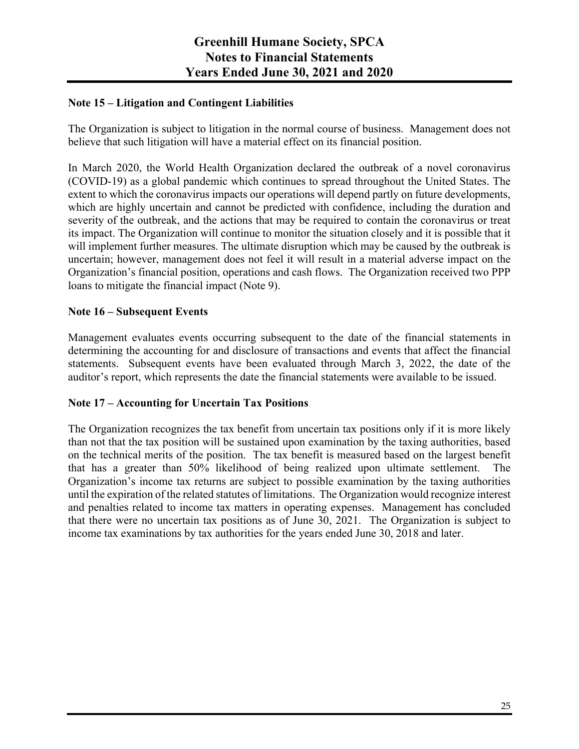#### **Note 15 – Litigation and Contingent Liabilities**

The Organization is subject to litigation in the normal course of business. Management does not believe that such litigation will have a material effect on its financial position.

In March 2020, the World Health Organization declared the outbreak of a novel coronavirus (COVID-19) as a global pandemic which continues to spread throughout the United States. The extent to which the coronavirus impacts our operations will depend partly on future developments, which are highly uncertain and cannot be predicted with confidence, including the duration and severity of the outbreak, and the actions that may be required to contain the coronavirus or treat its impact. The Organization will continue to monitor the situation closely and it is possible that it will implement further measures. The ultimate disruption which may be caused by the outbreak is uncertain; however, management does not feel it will result in a material adverse impact on the Organization's financial position, operations and cash flows. The Organization received two PPP loans to mitigate the financial impact (Note 9).

#### **Note 16 – Subsequent Events**

Management evaluates events occurring subsequent to the date of the financial statements in determining the accounting for and disclosure of transactions and events that affect the financial statements. Subsequent events have been evaluated through March 3, 2022, the date of the auditor's report, which represents the date the financial statements were available to be issued.

#### **Note 17 – Accounting for Uncertain Tax Positions**

The Organization recognizes the tax benefit from uncertain tax positions only if it is more likely than not that the tax position will be sustained upon examination by the taxing authorities, based on the technical merits of the position. The tax benefit is measured based on the largest benefit that has a greater than 50% likelihood of being realized upon ultimate settlement. The Organization's income tax returns are subject to possible examination by the taxing authorities until the expiration of the related statutes of limitations. The Organization would recognize interest and penalties related to income tax matters in operating expenses. Management has concluded that there were no uncertain tax positions as of June 30, 2021. The Organization is subject to income tax examinations by tax authorities for the years ended June 30, 2018 and later.